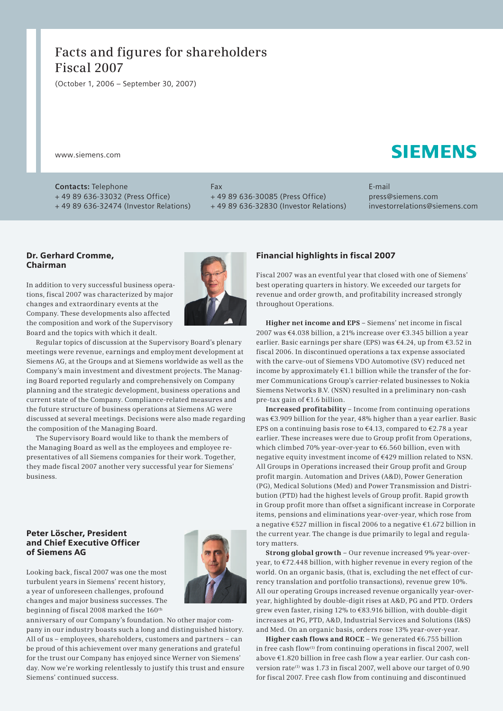# **Facts and figures for shareholders Fiscal 2007**

(October 1, 2006 – September 30, 2007)

www.siemens.com

# **SIEMENS**

**Contacts:** Telephone + 49 89 636-33032 (Press Office) + 49 89 636-32474 (Investor Relations) Fax + 49 89 636-30085 (Press Office) + 49 89 636-32830 (Investor Relations) E-mail press@siemens.com investorrelations@siemens.com

#### Dr. Gerhard Cromme, Chairman

In addition to very successful business operations, fiscal 2007 was characterized by major changes and extraordinary events at the Company. These developments also affected the composition and work of the Supervisory Board and the topics with which it dealt.



Regular topics of discussion at the Supervisory Board's plenary meetings were revenue, earnings and employment development at Siemens AG, at the Groups and at Siemens worldwide as well as the Company's main investment and divestment projects. The Managing Board reported regularly and comprehensively on Company planning and the strategic development, business operations and current state of the Company. Compliance-related measures and the future structure of business operations at Siemens AG were discussed at several meetings. Decisions were also made regarding the composition of the Managing Board.

The Supervisory Board would like to thank the members of the Managing Board as well as the employees and employee re presentatives of all Siemens companies for their work. Together, they made fiscal 2007 another very successful year for Siemens' business.

#### Peter Löscher, President and Chief Executive Officer of Siemens AG

Looking back, fiscal 2007 was one the most turbulent years in Siemens' recent history, a year of unforeseen challenges, profound changes and major business successes. The beginning of fiscal 2008 marked the 160<sup>th</sup>



anniversary of our Company's foundation. No other major company in our industry boasts such a long and distinguished history. All of us – employees, shareholders, customers and partners – can be proud of this achievement over many generations and grateful for the trust our Company has enjoyed since Werner von Siemens' day. Now we're working relentlessly to justify this trust and ensure Siemens' continued success.

## Financial highlights in fiscal 2007

Fiscal 2007 was an eventful year that closed with one of Siemens' best operating quarters in history. We exceeded our targets for revenue and order growth, and profitability increased strongly throughout Operations.

**Higher net income and EPS** – Siemens' net income in fiscal 2007 was €4.038 billion, a 21% increase over €3.345 billion a year earlier. Basic earnings per share (EPS) was €4.24, up from €3.52 in fiscal 2006. In discontinued operations a tax expense associated with the carve-out of Siemens VDO Automotive (SV) reduced net income by approximately  $E1.1$  billion while the transfer of the former Communications Group's carrier-related businesses to Nokia Siemens Networks B.V. (NSN) resulted in a preliminary non-cash pre-tax gain of €1.6 billion.

**Increased profitability** – Income from continuing operations was €3.909 billion for the year, 48% higher than a year earlier. Basic EPS on a continuing basis rose to  $\epsilon$ 4.13, compared to  $\epsilon$ 2.78 a year earlier. These increases were due to Group profit from Operations, which climbed 70% year-over-year to €6.560 billion, even with negative equity investment income of €429 million related to NSN. All Groups in Operations increased their Group profit and Group profit margin. Automation and Drives (A&D), Power Generation (PG), Medical Solutions (Med) and Power Transmission and Distribution (PTD) had the highest levels of Group profit. Rapid growth in Group profit more than offset a significant increase in Corporate items, pensions and eliminations year-over-year, which rose from a negative €527 million in fiscal 2006 to a negative €1.672 billion in the current year. The change is due primarily to legal and regulatory matters.

**Strong global growth** – Our revenue increased 9% year-overyear, to €72.448 billion, with higher revenue in every region of the world. On an organic basis, (that is, excluding the net effect of currency translation and portfolio transactions), revenue grew 10%. All our operating Groups increased revenue organically year-overyear, highlighted by double-digit rises at A&D, PG and PTD. Orders grew even faster, rising 12% to €83.916 billion, with double-digit increases at PG, PTD, A&D, Industrial Services and Solutions (I&S) and Med. On an organic basis, orders rose 13% year-over-year.

**Higher cash flows and ROCE** – We generated €6.755 billion in free cash flow<sup>(1)</sup> from continuing operations in fiscal 2007, well above €1.820 billion in free cash flow a year earlier. Our cash conversion rate<sup>(1)</sup> was 1.73 in fiscal 2007, well above our target of 0.90 for fiscal 2007. Free cash flow from continuing and discontinued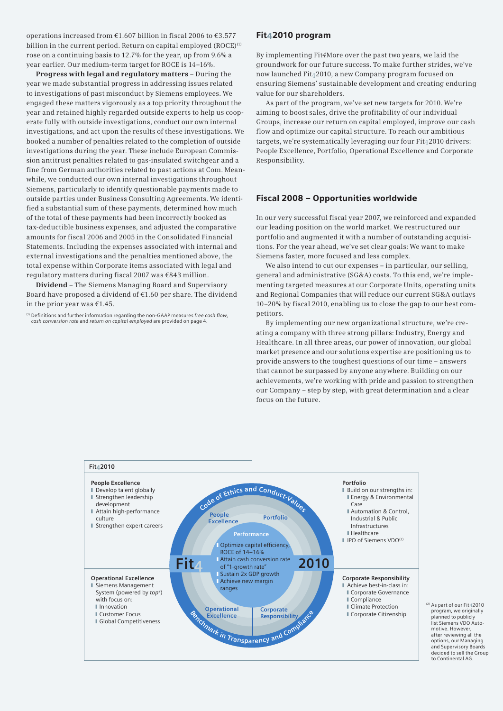operations increased from €1.607 billion in fiscal 2006 to €3.577 billion in the current period. Return on capital employed (ROCE)<sup>(1)</sup> rose on a continuing basis to 12.7% for the year, up from 9.6% a year earlier. Our medium-term target for ROCE is 14–16%.

**Progress with legal and regulatory matters** – During the year we made substantial progress in addressing issues related to investigations of past misconduct by Siemens employees. We engaged these matters vigorously as a top priority throughout the year and retained highly regarded outside experts to help us cooperate fully with outside investigations, conduct our own internal investigations, and act upon the results of these investigations. We booked a number of penalties related to the completion of outside investigations during the year. These include European Commission antitrust penalties related to gas-insulated switchgear and a fine from German authorities related to past actions at Com. Meanwhile, we conducted our own internal investigations throughout Siemens, particularly to identify questionable payments made to outside parties under Business Consulting Agreements. We identified a substantial sum of these payments, determined how much of the total of these payments had been incorrectly booked as tax-deductible business expenses, and adjusted the comparative amounts for fiscal 2006 and 2005 in the Consolidated Financial Statements. Including the expenses associated with internal and external investigations and the penalties mentioned above, the total expense within Corporate items associated with legal and regulatory matters during fiscal 2007 was €843 million.

**Dividend** – The Siemens Managing Board and Supervisory Board have proposed a dividend of €1.60 per share. The dividend in the prior year was  $€1.45$ .

(1) Definitions and further information regarding the non-GAAP measures *free cash flow*, *cash conversion rate* and *return on capital employed* are provided on page 4.

#### Fit42010 program

By implementing Fit*4*More over the past two years, we laid the groundwork for our future success. To make further strides, we've now launched Fit42010, a new Company program focused on ensuring Siemens' sustainable development and creating enduring value for our shareholders.

As part of the program, we've set new targets for 2010. We're aiming to boost sales, drive the profitability of our individual Groups, increase our return on capital employed, improve our cash flow and optimize our capital structure. To reach our ambitious targets, we're systematically leveraging our four Fit42010 drivers: People Excellence, Portfolio, Operational Excellence and Corporate Responsibility.

#### Fiscal 2008 – Opportunities worldwide

In our very successful fiscal year 2007, we reinforced and expanded our leading position on the world market. We restructured our portfolio and augmented it with a number of outstanding acquisitions. For the year ahead, we've set clear goals: We want to make Siemens faster, more focused and less complex.

We also intend to cut our expenses – in particular, our selling. general and administrative (SG&A) costs. To this end, we're implementing targeted measures at our Corporate Units, operating units and Regional Companies that will reduce our current SG&A outlays 10–20% by fiscal 2010, enabling us to close the gap to our best competitors.

By implementing our new organizational structure, we're creating a company with three strong pillars: Industry, Energy and Healthcare. In all three areas, our power of innovation, our global market presence and our solutions expertise are positioning us to provide answers to the toughest questions of our time – answers that cannot be surpassed by anyone anywhere. Building on our achievements, we're working with pride and passion to strengthen our Company – step by step, with great determination and a clear focus on the future.



(2) As part of our Fit42010 program, we originally planned to publicly list Siemens VDO Auto motive. However, after reviewing all the options, our Managing and Supervisory Boards decided to sell the Group to Continental AG.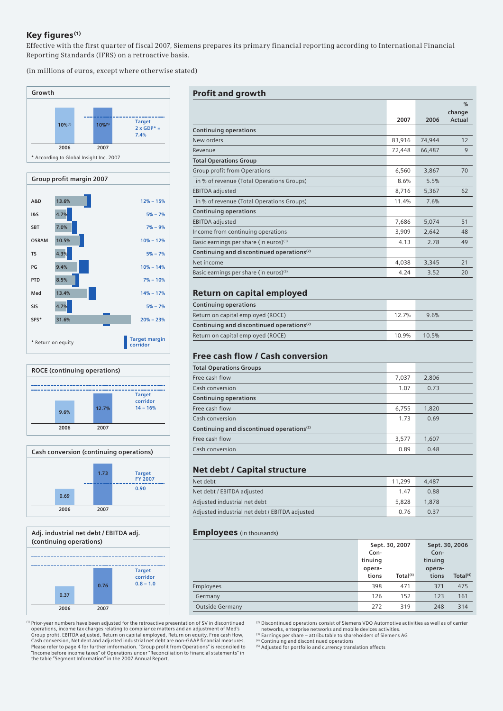## Key figures<sup>(1)</sup>

Effective with the first quarter of fiscal 2007, Siemens prepares its primary financial reporting according to International Financial Reporting Standards (IFRS) on a retroactive basis.

(in millions of euros, except where otherwise stated)









the table "Segment Information" in the 2007 Annual Report.

#### Profit and growth

|                                                       |        |        | $\frac{0}{0}$ |
|-------------------------------------------------------|--------|--------|---------------|
|                                                       |        |        | change        |
|                                                       | 2007   | 2006   | Actual        |
| <b>Continuing operations</b>                          |        |        |               |
| New orders                                            | 83,916 | 74,944 | 12            |
| Revenue                                               | 72,448 | 66,487 | 9             |
| <b>Total Operations Group</b>                         |        |        |               |
| Group profit from Operations                          | 6,560  | 3,867  | 70            |
| in % of revenue (Total Operations Groups)             | 8.6%   | 5.5%   |               |
| <b>EBITDA</b> adjusted                                | 8,716  | 5,367  | 62            |
| in % of revenue (Total Operations Groups)             | 11.4%  | 7.6%   |               |
| <b>Continuing operations</b>                          |        |        |               |
| <b>EBITDA</b> adjusted                                | 7,686  | 5,074  | 51            |
| Income from continuing operations                     | 3,909  | 2,642  | 48            |
| Basic earnings per share (in euros) <sup>(3)</sup>    | 4.13   | 2.78   | 49            |
| Continuing and discontinued operations <sup>(2)</sup> |        |        |               |
| Net income                                            | 4,038  | 3,345  | 21            |
| Basic earnings per share (in euros) <sup>(3)</sup>    | 4.24   | 3.52   | 20            |

# Return on capital employed

| <b>Continuing operations</b>                          |  |       |
|-------------------------------------------------------|--|-------|
| Return on capital employed (ROCE)                     |  | 9.6%  |
| Continuing and discontinued operations <sup>(2)</sup> |  |       |
| Return on capital employed (ROCE)                     |  | 10.5% |

# Free cash flow / Cash conversion

| <b>Total Operations Groups</b>                        |       |       |
|-------------------------------------------------------|-------|-------|
| Free cash flow                                        | 7,037 | 2,806 |
| Cash conversion                                       | 1.07  | 0.73  |
| <b>Continuing operations</b>                          |       |       |
| Free cash flow                                        | 6,755 | 1,820 |
| Cash conversion                                       | 1.73  | 0.69  |
| Continuing and discontinued operations <sup>(2)</sup> |       |       |
| Free cash flow                                        | 3,577 | 1,607 |
| Cash conversion                                       | 0.89  | 0.48  |

# Net debt / Capital structure

| Net debt                                       | 11.299 | 4.487 |
|------------------------------------------------|--------|-------|
| Net debt / EBITDA adjusted                     | 147    | 0.88  |
| Adjusted industrial net debt                   | 5.828  | 1,878 |
| Adjusted industrial net debt / EBITDA adjusted | 0.76   | 0.37  |

#### **Employees** (in thousands)

|                        | Con-<br>tinuing<br>opera-<br>tions | Sept. 30, 2007<br>Total <sup>(4)</sup> | Sept. 30, 2006<br>Con-<br>tinuing<br>opera-<br>tions | Total $(4)$ |
|------------------------|------------------------------------|----------------------------------------|------------------------------------------------------|-------------|
| <b>Employees</b>       | 398                                | 471                                    | 371                                                  | 475         |
| Germany                | 126                                | 152                                    | 123                                                  | 161         |
| <b>Outside Germany</b> | 272                                | 319                                    | 248                                                  | 314         |

(1) Prior-year numbers have been adjusted for the retroactive presentation of SV in discontinued operations, income tax charges relating to compliance matters and an adjustment of Med's Group profit. EBITDA adjusted, Return on capital employed, Return on equity, Free cash flow, Cash conversion, Net debt and adjusted industrial net debt are non-GAAP financial measures. Please refer to page 4 for further imformation. "Group profit from Operations" is reconciled to "Income before income taxes" of Operations under "Reconciliation to financial statements" in

(2) Discontinued operations consist of Siemens VDO Automotive activities as well as of carrier networks, enterprise networks and mobile devices activities. (3) Earnings per share – attributable to shareholders of Siemens AG

<sup>(4)</sup> Continuing and discontinued operations<br><sup>(5)</sup> Adjusted for portfolio and currency translation effects